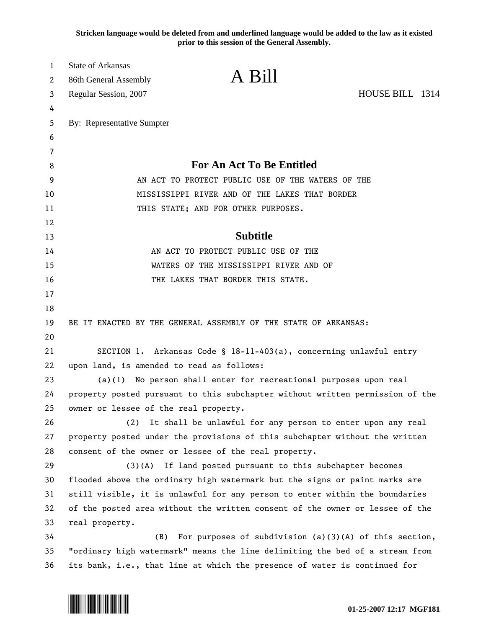**Stricken language would be deleted from and underlined language would be added to the law as it existed prior to this session of the General Assembly.**

| 1<br>2   | <b>State of Arkansas</b><br>86th General Assembly                             | A Bill                                                                     |                 |  |
|----------|-------------------------------------------------------------------------------|----------------------------------------------------------------------------|-----------------|--|
| 3        | Regular Session, 2007                                                         |                                                                            | HOUSE BILL 1314 |  |
| 4        |                                                                               |                                                                            |                 |  |
| 5        | By: Representative Sumpter                                                    |                                                                            |                 |  |
| 6        |                                                                               |                                                                            |                 |  |
| 7        |                                                                               |                                                                            |                 |  |
| 8        | <b>For An Act To Be Entitled</b>                                              |                                                                            |                 |  |
| 9        |                                                                               | AN ACT TO PROTECT PUBLIC USE OF THE WATERS OF THE                          |                 |  |
| 10       | MISSISSIPPI RIVER AND OF THE LAKES THAT BORDER                                |                                                                            |                 |  |
| 11       | THIS STATE; AND FOR OTHER PURPOSES.                                           |                                                                            |                 |  |
| 12       |                                                                               | <b>Subtitle</b>                                                            |                 |  |
| 13<br>14 | AN ACT TO PROTECT PUBLIC USE OF THE                                           |                                                                            |                 |  |
| 15       |                                                                               | WATERS OF THE MISSISSIPPI RIVER AND OF                                     |                 |  |
| 16       | THE LAKES THAT BORDER THIS STATE.                                             |                                                                            |                 |  |
| 17       |                                                                               |                                                                            |                 |  |
| 18       |                                                                               |                                                                            |                 |  |
| 19       | BE IT ENACTED BY THE GENERAL ASSEMBLY OF THE STATE OF ARKANSAS:               |                                                                            |                 |  |
| 20       |                                                                               |                                                                            |                 |  |
| 21       | SECTION 1. Arkansas Code § 18-11-403(a), concerning unlawful entry            |                                                                            |                 |  |
| 22       | upon land, is amended to read as follows:                                     |                                                                            |                 |  |
| 23       | No person shall enter for recreational purposes upon real<br>(a)(1)           |                                                                            |                 |  |
| 24       | property posted pursuant to this subchapter without written permission of the |                                                                            |                 |  |
| 25       | owner or lessee of the real property.                                         |                                                                            |                 |  |
| 26       | It shall be unlawful for any person to enter upon any real<br>(2)             |                                                                            |                 |  |
| 27       | property posted under the provisions of this subchapter without the written   |                                                                            |                 |  |
| 28       | consent of the owner or lessee of the real property.                          |                                                                            |                 |  |
| 29       | If land posted pursuant to this subchapter becomes<br>(3)(A)                  |                                                                            |                 |  |
| 30       |                                                                               | flooded above the ordinary high watermark but the signs or paint marks are |                 |  |
| 31       | still visible, it is unlawful for any person to enter within the boundaries   |                                                                            |                 |  |
| 32       | of the posted area without the written consent of the owner or lessee of the  |                                                                            |                 |  |
| 33       | real property.                                                                |                                                                            |                 |  |
| 34       | For purposes of subdivision $(a)(3)(A)$ of this section,<br>(B)               |                                                                            |                 |  |
| 35       | "ordinary high watermark" means the line delimiting the bed of a stream from  |                                                                            |                 |  |
| 36       | its bank, i.e., that line at which the presence of water is continued for     |                                                                            |                 |  |